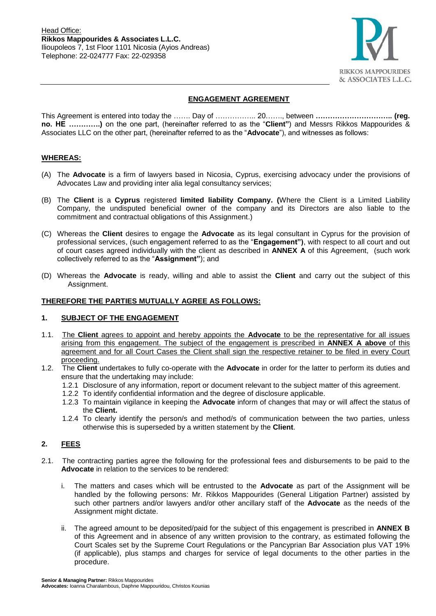

# **ENGAGEMENT AGREEMENT**

This Agreement is entered into today the ……. Day of …………….. 20……., between **………………………….. (reg. no. ΗΕ ………….)** on the one part, (hereinafter referred to as the "**Client"**) and Messrs Rikkos Mappourides & Associates LLC on the other part, (hereinafter referred to as the "**Advocate**"), and witnesses as follows:

## **WHEREAS:**

- (A) The **Advocate** is a firm of lawyers based in Nicosia, Cyprus, exercising advocacy under the provisions of Advocates Law and providing inter alia legal consultancy services;
- (B) The **Client** is a **Cyprus** registered **limited liability Company. (**Where the Client is a Limited Liability Company, the undisputed beneficial owner of the company and its Directors are also liable to the commitment and contractual obligations of this Assignment.)
- (C) Whereas the **Client** desires to engage the **Advocate** as its legal consultant in Cyprus for the provision of professional services, (such engagement referred to as the "**Engagement")**, with respect to all court and out of court cases agreed individually with the client as described in **ANNEX A** of this Agreement, (such work collectively referred to as the "**Assignment"**); and
- (D) Whereas the **Advocate** is ready, willing and able to assist the **Client** and carry out the subject of this Assignment.

### **THEREFORE THE PARTIES MUTUALLY AGREE AS FOLLOWS:**

#### **1. SUBJECT OF THE ENGAGEMENT**

- 1.1. The **Client** agrees to appoint and hereby appoints the **Advocate** to be the representative for all issues arising from this engagement. The subject of the engagement is prescribed in **ANNEX A above** of this agreement and for all Court Cases the Client shall sign the respective retainer to be filed in every Court proceeding.
- 1.2. The **Client** undertakes to fully co-operate with the **Advocate** in order for the latter to perform its duties and ensure that the undertaking may include:
	- 1.2.1 Disclosure of any information, report or document relevant to the subject matter of this agreement.
	- 1.2.2 To identify confidential information and the degree of disclosure applicable.
	- 1.2.3 To maintain vigilance in keeping the **Advocate** inform of changes that may or will affect the status of the **Client.**
	- 1.2.4 To clearly identify the person/s and method/s of communication between the two parties, unless otherwise this is superseded by a written statement by the **Client**.

# **2. FEES**

- 2.1. The contracting parties agree the following for the professional fees and disbursements to be paid to the **Advocate** in relation to the services to be rendered:
	- i. The matters and cases which will be entrusted to the **Advocate** as part of the Assignment will be handled by the following persons: Mr. Rikkos Mappourides (General Litigation Partner) assisted by such other partners and/or lawyers and/or other ancillary staff of the **Advocate** as the needs of the Assignment might dictate.
	- ii. The agreed amount to be deposited/paid for the subject of this engagement is prescribed in **ANNEX B** of this Agreement and in absence of any written provision to the contrary, as estimated following the Court Scales set by the Supreme Court Regulations or the Pancyprian Bar Association plus VAT 19% (if applicable), plus stamps and charges for service of legal documents to the other parties in the procedure.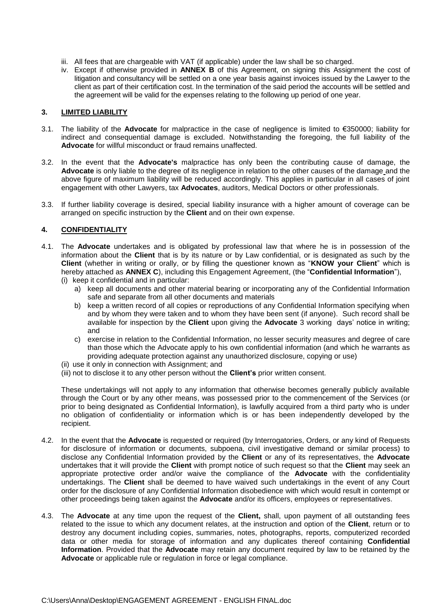- iii. All fees that are chargeable with VAT (if applicable) under the law shall be so charged.
- iv. Except if otherwise provided in **ANNEX B** of this Agreement, on signing this Assignment the cost of litigation and consultancy will be settled on a one year basis against invoices issued by the Lawyer to the client as part of their certification cost. In the termination of the said period the accounts will be settled and the agreement will be valid for the expenses relating to the following up period of one year.

### **3. LIMITED LIABILITY**

- 3.1. The liability of the **Advocate** for malpractice in the case of negligence is limited to €350000; liability for indirect and consequential damage is excluded. Notwithstanding the foregoing, the full liability of the **Advocate** for willful misconduct or fraud remains unaffected.
- 3.2. In the event that the **Advocate's** malpractice has only been the contributing cause of damage, the **Advocate** is only liable to the degree of its negligence in relation to the other causes of the damage and the above figure of maximum liability will be reduced accordingly. This applies in particular in all cases of joint engagement with other Lawyers, tax **Advocates**, auditors, Medical Doctors or other professionals.
- 3.3. If further liability coverage is desired, special liability insurance with a higher amount of coverage can be arranged on specific instruction by the **Client** and on their own expense.

## **4. CONFIDENTIALITY**

- 4.1. The **Advocate** undertakes and is obligated by professional law that where he is in possession of the information about the **Client** that is by its nature or by Law confidential, or is designated as such by the **Client** (whether in writing or orally, or by filling the questioner known as "**KNOW your Client**" which is hereby attached as **ANNEX C**), including this Engagement Agreement, (the "**Confidential Information**"), (i) keep it confidential and in particular:
	- a) keep all documents and other material bearing or incorporating any of the Confidential Information safe and separate from all other documents and materials
	- b) keep a written record of all copies or reproductions of any Confidential Information specifying when and by whom they were taken and to whom they have been sent (if anyone). Such record shall be available for inspection by the **Client** upon giving the **Advocate** 3 working days' notice in writing; and
	- c) exercise in relation to the Confidential Information, no lesser security measures and degree of care than those which the Advocate apply to his own confidential information (and which he warrants as providing adequate protection against any unauthorized disclosure, copying or use)
	- (ii) use it only in connection with Assignment; and
	- (iii) not to disclose it to any other person without the **Client's** prior written consent.

These undertakings will not apply to any information that otherwise becomes generally publicly available through the Court or by any other means, was possessed prior to the commencement of the Services (or prior to being designated as Confidential Information), is lawfully acquired from a third party who is under no obligation of confidentiality or information which is or has been independently developed by the recipient.

- 4.2. In the event that the **Advocate** is requested or required (by Interrogatories, Orders, or any kind of Requests for disclosure of information or documents, subpoena, civil investigative demand or similar process) to disclose any Confidential Information provided by the **Client** or any of its representatives, the **Advocate** undertakes that it will provide the **Client** with prompt notice of such request so that the **Client** may seek an appropriate protective order and/or waive the compliance of the **Advocate** with the confidentiality undertakings. The **Client** shall be deemed to have waived such undertakings in the event of any Court order for the disclosure of any Confidential Information disobedience with which would result in contempt or other proceedings being taken against the **Advocate** and/or its officers, employees or representatives.
- 4.3. The **Advocate** at any time upon the request of the **Client,** shall, upon payment of all outstanding fees related to the issue to which any document relates, at the instruction and option of the **Client**, return or to destroy any document including copies, summaries, notes, photographs, reports, computerized recorded data or other media for storage of information and any duplicates thereof containing **Confidential Information**. Provided that the **Advocate** may retain any document required by law to be retained by the **Advocate** or applicable rule or regulation in force or legal compliance.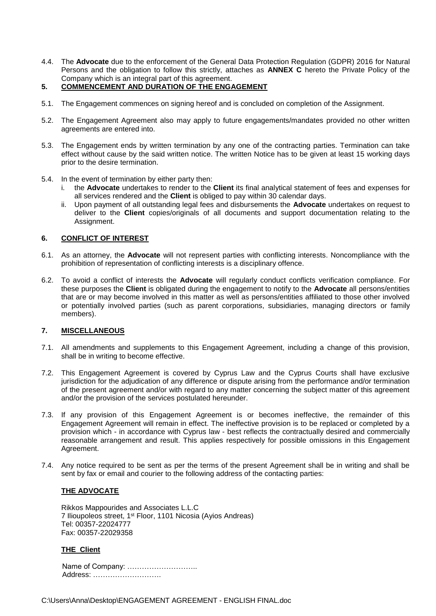- 4.4. The **Advocate** due to the enforcement of the General Data Protection Regulation (GDPR) 2016 for Natural Persons and the obligation to follow this strictly, attaches as **ANNEX C** hereto the Private Policy of the Company which is an integral part of this agreement.
- **5. COMMENCEMENT AND DURATION OF THE ENGAGEMENT**
- 5.1. The Engagement commences on signing hereof and is concluded on completion of the Assignment.
- 5.2. The Engagement Agreement also may apply to future engagements/mandates provided no other written agreements are entered into.
- 5.3. The Engagement ends by written termination by any one of the contracting parties. Termination can take effect without cause by the said written notice. The written Notice has to be given at least 15 working days prior to the desire termination.
- 5.4. In the event of termination by either party then:
	- i. the **Advocate** undertakes to render to the **Client** its final analytical statement of fees and expenses for all services rendered and the **Client** is obliged to pay within 30 calendar days.
	- ii. Upon payment of all outstanding legal fees and disbursements the **Advocate** undertakes on request to deliver to the **Client** copies/originals of all documents and support documentation relating to the Assignment.

### **6. CONFLICT OF INTEREST**

- 6.1. As an attorney, the **Advocate** will not represent parties with conflicting interests. Noncompliance with the prohibition of representation of conflicting interests is a disciplinary offence.
- 6.2. To avoid a conflict of interests the **Advocate** will regularly conduct conflicts verification compliance. For these purposes the **Client** is obligated during the engagement to notify to the **Advocate** all persons/entities that are or may become involved in this matter as well as persons/entities affiliated to those other involved or potentially involved parties (such as parent corporations, subsidiaries, managing directors or family members).

#### **7. MISCELLANEOUS**

- 7.1. All amendments and supplements to this Engagement Agreement, including a change of this provision, shall be in writing to become effective.
- 7.2. This Engagement Agreement is covered by Cyprus Law and the Cyprus Courts shall have exclusive jurisdiction for the adjudication of any difference or dispute arising from the performance and/or termination of the present agreement and/or with regard to any matter concerning the subject matter of this agreement and/or the provision of the services postulated hereunder.
- 7.3. If any provision of this Engagement Agreement is or becomes ineffective, the remainder of this Engagement Agreement will remain in effect. The ineffective provision is to be replaced or completed by a provision which - in accordance with Cyprus law - best reflects the contractually desired and commercially reasonable arrangement and result. This applies respectively for possible omissions in this Engagement Agreement.
- 7.4. Any notice required to be sent as per the terms of the present Agreement shall be in writing and shall be sent by fax or email and courier to the following address of the contacting parties:

#### **THE ADVOCATE**

Rikkos Mappourides and Associates L.L.C 7 Ilioupoleos street, 1st Floor, 1101 Nicosia (Ayios Andreas) Tel: 00357-22024777 Fax: 00357-22029358

# **THE Client**

 Name of Company: ……………………….. Address: ……………………….